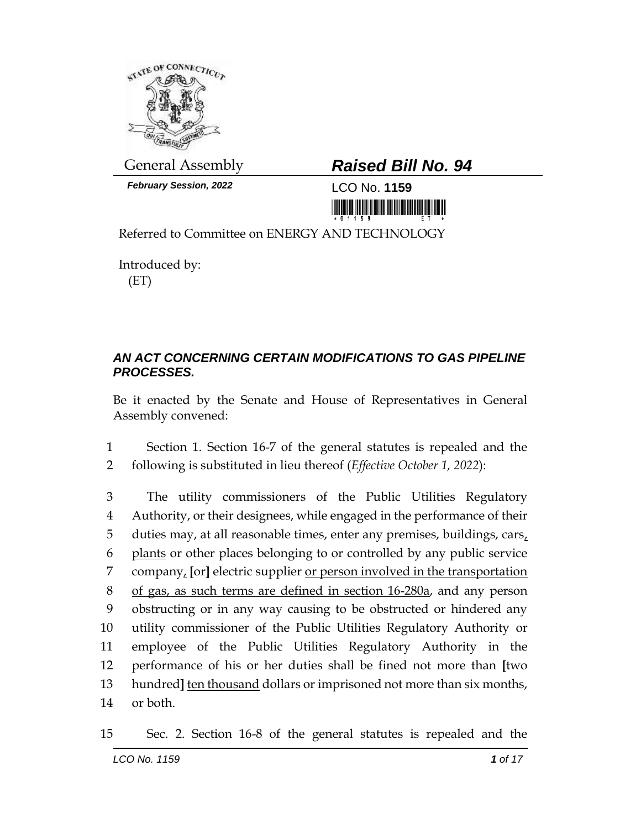

*February Session, 2022* LCO No. **1159**

## General Assembly *Raised Bill No. 94*

<u> III ya matshiri wa matshiri wa matshiri wa matshiri wa m</u>

Referred to Committee on ENERGY AND TECHNOLOGY

Introduced by: (ET)

## *AN ACT CONCERNING CERTAIN MODIFICATIONS TO GAS PIPELINE PROCESSES.*

Be it enacted by the Senate and House of Representatives in General Assembly convened:

1 Section 1. Section 16-7 of the general statutes is repealed and the 2 following is substituted in lieu thereof (*Effective October 1, 2022*):

 The utility commissioners of the Public Utilities Regulatory Authority, or their designees, while engaged in the performance of their 5 duties may, at all reasonable times, enter any premises, buildings, cars, plants or other places belonging to or controlled by any public service company, **[**or**]** electric supplier or person involved in the transportation of gas, as such terms are defined in section 16-280a, and any person obstructing or in any way causing to be obstructed or hindered any utility commissioner of the Public Utilities Regulatory Authority or employee of the Public Utilities Regulatory Authority in the performance of his or her duties shall be fined not more than **[**two hundred**]** ten thousand dollars or imprisoned not more than six months, 14 or both.

15 Sec. 2. Section 16-8 of the general statutes is repealed and the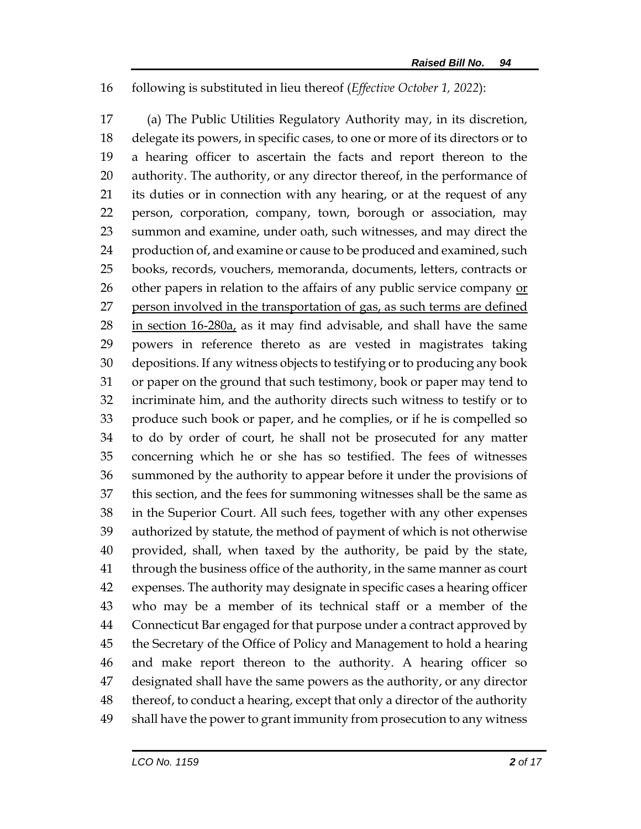## following is substituted in lieu thereof (*Effective October 1, 2022*):

 (a) The Public Utilities Regulatory Authority may, in its discretion, delegate its powers, in specific cases, to one or more of its directors or to a hearing officer to ascertain the facts and report thereon to the authority. The authority, or any director thereof, in the performance of its duties or in connection with any hearing, or at the request of any person, corporation, company, town, borough or association, may summon and examine, under oath, such witnesses, and may direct the 24 production of, and examine or cause to be produced and examined, such books, records, vouchers, memoranda, documents, letters, contracts or 26 other papers in relation to the affairs of any public service company  $or$ 27 person involved in the transportation of gas, as such terms are defined 28 in section 16-280a, as it may find advisable, and shall have the same powers in reference thereto as are vested in magistrates taking depositions. If any witness objects to testifying or to producing any book or paper on the ground that such testimony, book or paper may tend to incriminate him, and the authority directs such witness to testify or to produce such book or paper, and he complies, or if he is compelled so to do by order of court, he shall not be prosecuted for any matter concerning which he or she has so testified. The fees of witnesses summoned by the authority to appear before it under the provisions of this section, and the fees for summoning witnesses shall be the same as in the Superior Court. All such fees, together with any other expenses authorized by statute, the method of payment of which is not otherwise provided, shall, when taxed by the authority, be paid by the state, through the business office of the authority, in the same manner as court expenses. The authority may designate in specific cases a hearing officer who may be a member of its technical staff or a member of the Connecticut Bar engaged for that purpose under a contract approved by the Secretary of the Office of Policy and Management to hold a hearing and make report thereon to the authority. A hearing officer so designated shall have the same powers as the authority, or any director thereof, to conduct a hearing, except that only a director of the authority shall have the power to grant immunity from prosecution to any witness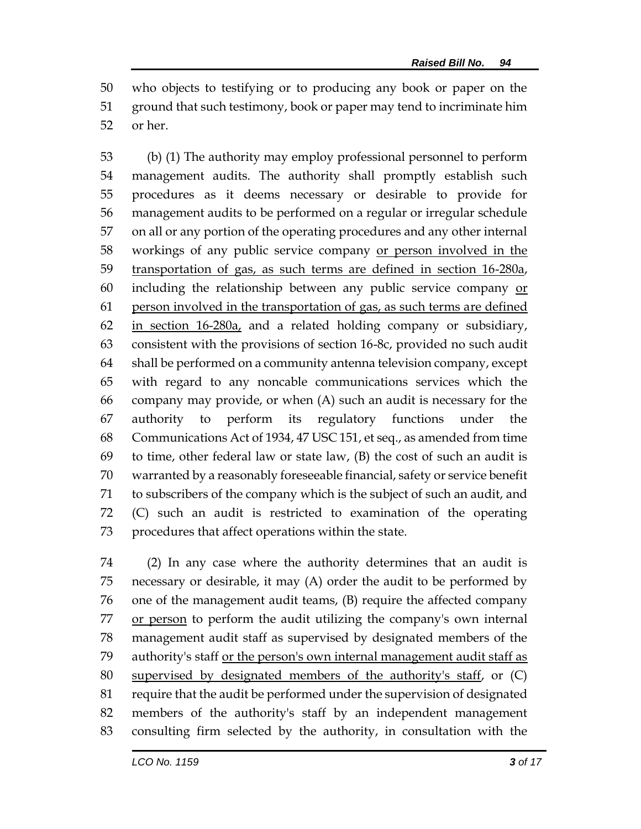who objects to testifying or to producing any book or paper on the ground that such testimony, book or paper may tend to incriminate him or her.

 (b) (1) The authority may employ professional personnel to perform management audits. The authority shall promptly establish such procedures as it deems necessary or desirable to provide for management audits to be performed on a regular or irregular schedule on all or any portion of the operating procedures and any other internal workings of any public service company or person involved in the transportation of gas, as such terms are defined in section 16-280a, 60 including the relationship between any public service company  $or$  person involved in the transportation of gas, as such terms are defined in section 16-280a, and a related holding company or subsidiary, consistent with the provisions of section 16-8c, provided no such audit shall be performed on a community antenna television company, except with regard to any noncable communications services which the company may provide, or when (A) such an audit is necessary for the authority to perform its regulatory functions under the Communications Act of 1934, 47 USC 151, et seq., as amended from time 69 to time, other federal law or state law,  $(B)$  the cost of such an audit is warranted by a reasonably foreseeable financial, safety or service benefit to subscribers of the company which is the subject of such an audit, and (C) such an audit is restricted to examination of the operating procedures that affect operations within the state.

 (2) In any case where the authority determines that an audit is necessary or desirable, it may (A) order the audit to be performed by one of the management audit teams, (B) require the affected company 77 or person to perform the audit utilizing the company's own internal management audit staff as supervised by designated members of the 79 authority's staff or the person's own internal management audit staff as supervised by designated members of the authority's staff, or (C) require that the audit be performed under the supervision of designated members of the authority's staff by an independent management consulting firm selected by the authority, in consultation with the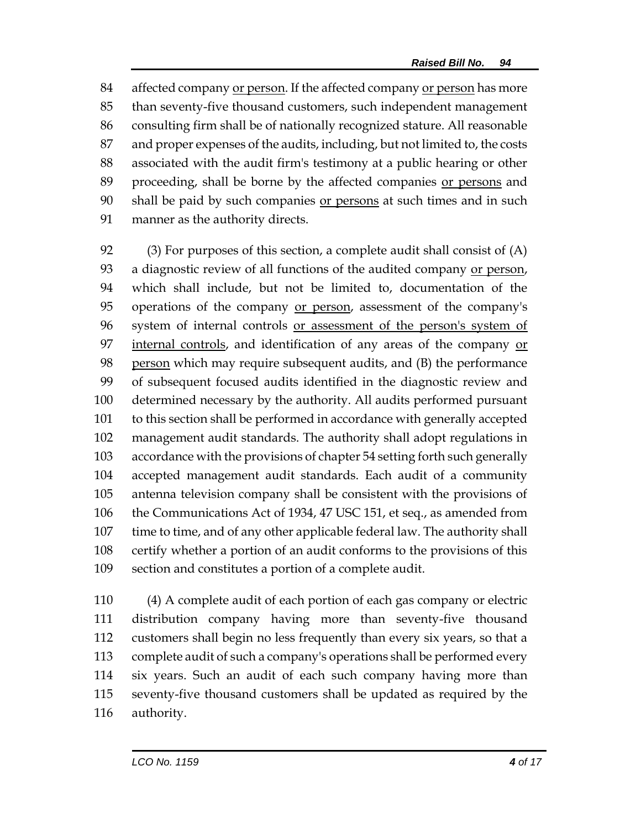affected company or person. If the affected company or person has more than seventy-five thousand customers, such independent management consulting firm shall be of nationally recognized stature. All reasonable and proper expenses of the audits, including, but not limited to, the costs associated with the audit firm's testimony at a public hearing or other proceeding, shall be borne by the affected companies or persons and 90 shall be paid by such companies or persons at such times and in such manner as the authority directs.

 (3) For purposes of this section, a complete audit shall consist of (A) 93 a diagnostic review of all functions of the audited company or person, which shall include, but not be limited to, documentation of the operations of the company or person, assessment of the company's system of internal controls or assessment of the person's system of internal controls, and identification of any areas of the company or person which may require subsequent audits, and (B) the performance of subsequent focused audits identified in the diagnostic review and determined necessary by the authority. All audits performed pursuant to this section shall be performed in accordance with generally accepted management audit standards. The authority shall adopt regulations in accordance with the provisions of chapter 54 setting forth such generally accepted management audit standards. Each audit of a community antenna television company shall be consistent with the provisions of the Communications Act of 1934, 47 USC 151, et seq., as amended from time to time, and of any other applicable federal law. The authority shall certify whether a portion of an audit conforms to the provisions of this section and constitutes a portion of a complete audit.

 (4) A complete audit of each portion of each gas company or electric distribution company having more than seventy-five thousand customers shall begin no less frequently than every six years, so that a complete audit of such a company's operations shall be performed every six years. Such an audit of each such company having more than seventy-five thousand customers shall be updated as required by the authority.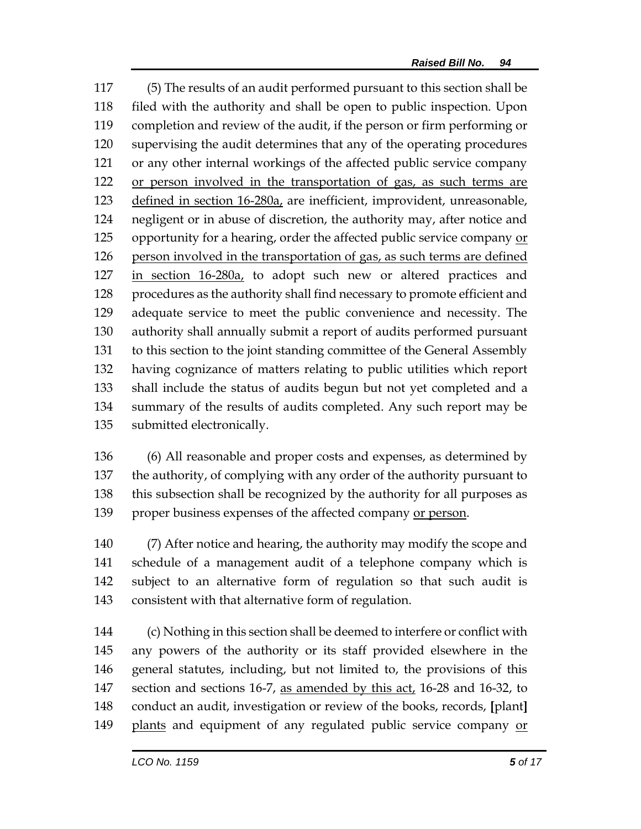(5) The results of an audit performed pursuant to this section shall be filed with the authority and shall be open to public inspection. Upon completion and review of the audit, if the person or firm performing or supervising the audit determines that any of the operating procedures or any other internal workings of the affected public service company or person involved in the transportation of gas, as such terms are 123 defined in section 16-280a, are inefficient, improvident, unreasonable, negligent or in abuse of discretion, the authority may, after notice and opportunity for a hearing, order the affected public service company or 126 person involved in the transportation of gas, as such terms are defined in section 16-280a, to adopt such new or altered practices and procedures as the authority shall find necessary to promote efficient and adequate service to meet the public convenience and necessity. The authority shall annually submit a report of audits performed pursuant to this section to the joint standing committee of the General Assembly having cognizance of matters relating to public utilities which report shall include the status of audits begun but not yet completed and a summary of the results of audits completed. Any such report may be submitted electronically.

 (6) All reasonable and proper costs and expenses, as determined by the authority, of complying with any order of the authority pursuant to this subsection shall be recognized by the authority for all purposes as proper business expenses of the affected company or person.

 (7) After notice and hearing, the authority may modify the scope and schedule of a management audit of a telephone company which is subject to an alternative form of regulation so that such audit is consistent with that alternative form of regulation.

 (c) Nothing in this section shall be deemed to interfere or conflict with any powers of the authority or its staff provided elsewhere in the general statutes, including, but not limited to, the provisions of this 147 section and sections 16-7, as amended by this act, 16-28 and 16-32, to conduct an audit, investigation or review of the books, records, **[**plant**]** plants and equipment of any regulated public service company or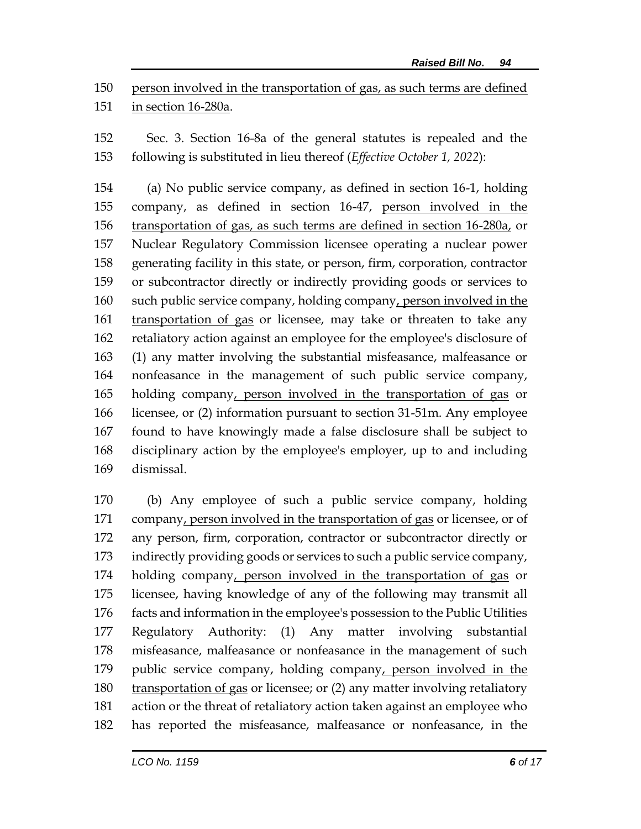person involved in the transportation of gas, as such terms are defined in section 16-280a.

 Sec. 3. Section 16-8a of the general statutes is repealed and the following is substituted in lieu thereof (*Effective October 1, 2022*):

 (a) No public service company, as defined in section 16-1, holding company, as defined in section 16-47, person involved in the transportation of gas, as such terms are defined in section 16-280a, or Nuclear Regulatory Commission licensee operating a nuclear power generating facility in this state, or person, firm, corporation, contractor or subcontractor directly or indirectly providing goods or services to such public service company, holding company, person involved in the transportation of gas or licensee, may take or threaten to take any retaliatory action against an employee for the employee's disclosure of (1) any matter involving the substantial misfeasance, malfeasance or nonfeasance in the management of such public service company, holding company, person involved in the transportation of gas or licensee, or (2) information pursuant to section 31-51m. Any employee found to have knowingly made a false disclosure shall be subject to disciplinary action by the employee's employer, up to and including dismissal.

 (b) Any employee of such a public service company, holding 171 company, person involved in the transportation of gas or licensee, or of any person, firm, corporation, contractor or subcontractor directly or indirectly providing goods or services to such a public service company, holding company, person involved in the transportation of gas or licensee, having knowledge of any of the following may transmit all facts and information in the employee's possession to the Public Utilities Regulatory Authority: (1) Any matter involving substantial misfeasance, malfeasance or nonfeasance in the management of such public service company, holding company, person involved in the transportation of gas or licensee; or (2) any matter involving retaliatory action or the threat of retaliatory action taken against an employee who has reported the misfeasance, malfeasance or nonfeasance, in the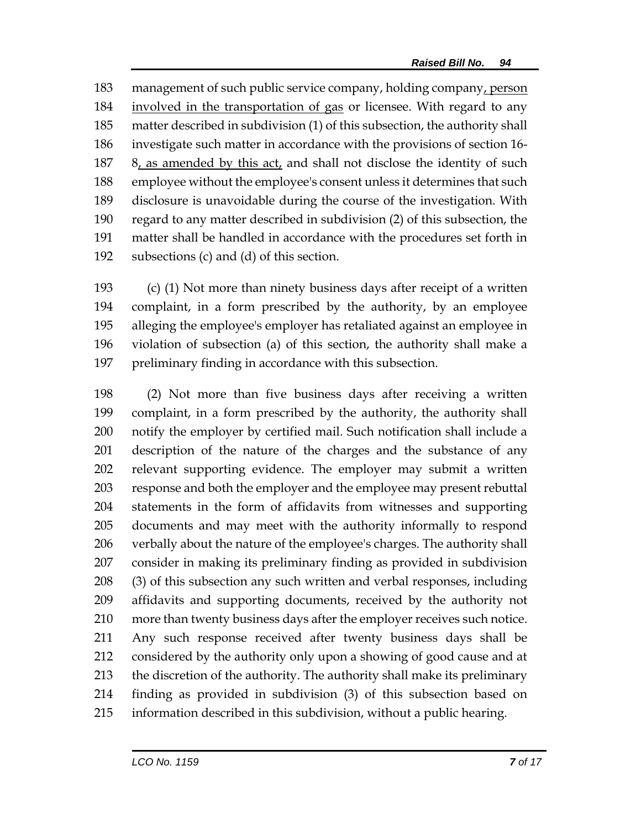management of such public service company, holding company, person involved in the transportation of gas or licensee. With regard to any matter described in subdivision (1) of this subsection, the authority shall investigate such matter in accordance with the provisions of section 16- 8, as amended by this act, and shall not disclose the identity of such employee without the employee's consent unless it determines that such disclosure is unavoidable during the course of the investigation. With regard to any matter described in subdivision (2) of this subsection, the matter shall be handled in accordance with the procedures set forth in subsections (c) and (d) of this section.

 (c) (1) Not more than ninety business days after receipt of a written complaint, in a form prescribed by the authority, by an employee alleging the employee's employer has retaliated against an employee in violation of subsection (a) of this section, the authority shall make a preliminary finding in accordance with this subsection.

 (2) Not more than five business days after receiving a written complaint, in a form prescribed by the authority, the authority shall notify the employer by certified mail. Such notification shall include a description of the nature of the charges and the substance of any relevant supporting evidence. The employer may submit a written response and both the employer and the employee may present rebuttal statements in the form of affidavits from witnesses and supporting documents and may meet with the authority informally to respond verbally about the nature of the employee's charges. The authority shall consider in making its preliminary finding as provided in subdivision (3) of this subsection any such written and verbal responses, including affidavits and supporting documents, received by the authority not more than twenty business days after the employer receives such notice. Any such response received after twenty business days shall be considered by the authority only upon a showing of good cause and at the discretion of the authority. The authority shall make its preliminary finding as provided in subdivision (3) of this subsection based on information described in this subdivision, without a public hearing.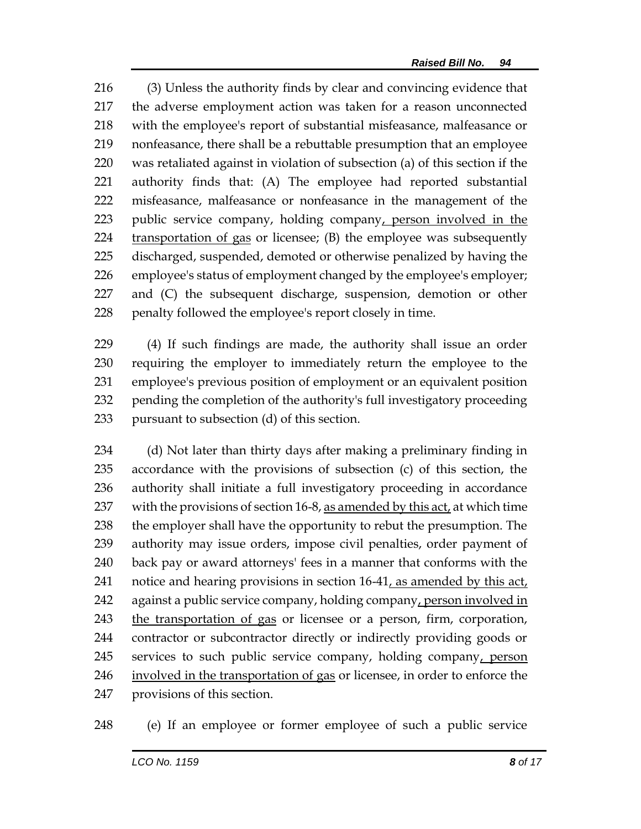(3) Unless the authority finds by clear and convincing evidence that the adverse employment action was taken for a reason unconnected with the employee's report of substantial misfeasance, malfeasance or nonfeasance, there shall be a rebuttable presumption that an employee was retaliated against in violation of subsection (a) of this section if the authority finds that: (A) The employee had reported substantial misfeasance, malfeasance or nonfeasance in the management of the public service company, holding company, person involved in the transportation of gas or licensee; (B) the employee was subsequently discharged, suspended, demoted or otherwise penalized by having the employee's status of employment changed by the employee's employer; and (C) the subsequent discharge, suspension, demotion or other penalty followed the employee's report closely in time.

 (4) If such findings are made, the authority shall issue an order requiring the employer to immediately return the employee to the employee's previous position of employment or an equivalent position pending the completion of the authority's full investigatory proceeding pursuant to subsection (d) of this section.

 (d) Not later than thirty days after making a preliminary finding in accordance with the provisions of subsection (c) of this section, the authority shall initiate a full investigatory proceeding in accordance 237 with the provisions of section 16-8, as amended by this act, at which time 238 the employer shall have the opportunity to rebut the presumption. The authority may issue orders, impose civil penalties, order payment of back pay or award attorneys' fees in a manner that conforms with the notice and hearing provisions in section 16-41, as amended by this act, against a public service company, holding company, person involved in 243 the transportation of gas or licensee or a person, firm, corporation, contractor or subcontractor directly or indirectly providing goods or services to such public service company, holding company, person involved in the transportation of gas or licensee, in order to enforce the provisions of this section.

(e) If an employee or former employee of such a public service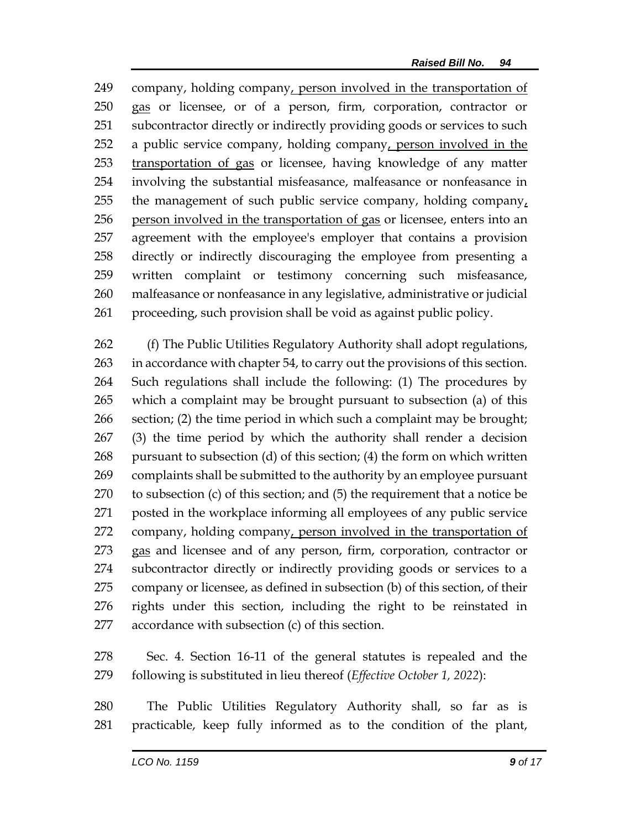company, holding company, person involved in the transportation of gas or licensee, or of a person, firm, corporation, contractor or subcontractor directly or indirectly providing goods or services to such a public service company, holding company, person involved in the transportation of gas or licensee, having knowledge of any matter involving the substantial misfeasance, malfeasance or nonfeasance in 255 the management of such public service company, holding company, person involved in the transportation of gas or licensee, enters into an agreement with the employee's employer that contains a provision directly or indirectly discouraging the employee from presenting a written complaint or testimony concerning such misfeasance, malfeasance or nonfeasance in any legislative, administrative or judicial proceeding, such provision shall be void as against public policy.

 (f) The Public Utilities Regulatory Authority shall adopt regulations, in accordance with chapter 54, to carry out the provisions of this section. Such regulations shall include the following: (1) The procedures by which a complaint may be brought pursuant to subsection (a) of this section; (2) the time period in which such a complaint may be brought; (3) the time period by which the authority shall render a decision pursuant to subsection (d) of this section; (4) the form on which written complaints shall be submitted to the authority by an employee pursuant to subsection (c) of this section; and (5) the requirement that a notice be posted in the workplace informing all employees of any public service company, holding company, person involved in the transportation of gas and licensee and of any person, firm, corporation, contractor or subcontractor directly or indirectly providing goods or services to a company or licensee, as defined in subsection (b) of this section, of their rights under this section, including the right to be reinstated in accordance with subsection (c) of this section.

 Sec. 4. Section 16-11 of the general statutes is repealed and the following is substituted in lieu thereof (*Effective October 1, 2022*):

 The Public Utilities Regulatory Authority shall, so far as is practicable, keep fully informed as to the condition of the plant,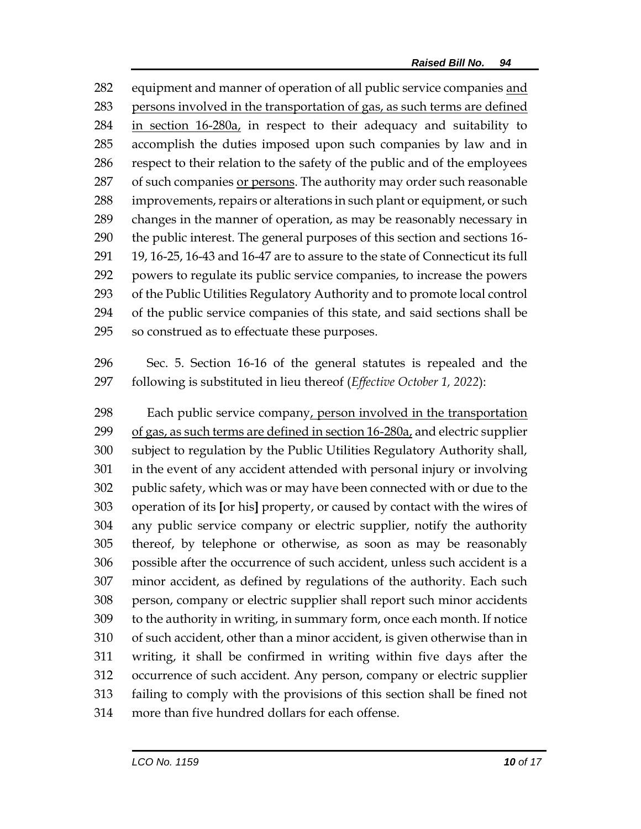equipment and manner of operation of all public service companies and persons involved in the transportation of gas, as such terms are defined 284 in section 16-280a, in respect to their adequacy and suitability to accomplish the duties imposed upon such companies by law and in respect to their relation to the safety of the public and of the employees of such companies or persons. The authority may order such reasonable improvements, repairs or alterations in such plant or equipment, or such changes in the manner of operation, as may be reasonably necessary in the public interest. The general purposes of this section and sections 16- 19, 16-25, 16-43 and 16-47 are to assure to the state of Connecticut its full powers to regulate its public service companies, to increase the powers of the Public Utilities Regulatory Authority and to promote local control of the public service companies of this state, and said sections shall be so construed as to effectuate these purposes.

 Sec. 5. Section 16-16 of the general statutes is repealed and the following is substituted in lieu thereof (*Effective October 1, 2022*):

298 Each public service company, person involved in the transportation of gas, as such terms are defined in section 16-280a, and electric supplier subject to regulation by the Public Utilities Regulatory Authority shall, in the event of any accident attended with personal injury or involving public safety, which was or may have been connected with or due to the operation of its **[**or his**]** property, or caused by contact with the wires of any public service company or electric supplier, notify the authority thereof, by telephone or otherwise, as soon as may be reasonably possible after the occurrence of such accident, unless such accident is a minor accident, as defined by regulations of the authority. Each such person, company or electric supplier shall report such minor accidents to the authority in writing, in summary form, once each month. If notice of such accident, other than a minor accident, is given otherwise than in writing, it shall be confirmed in writing within five days after the occurrence of such accident. Any person, company or electric supplier failing to comply with the provisions of this section shall be fined not more than five hundred dollars for each offense.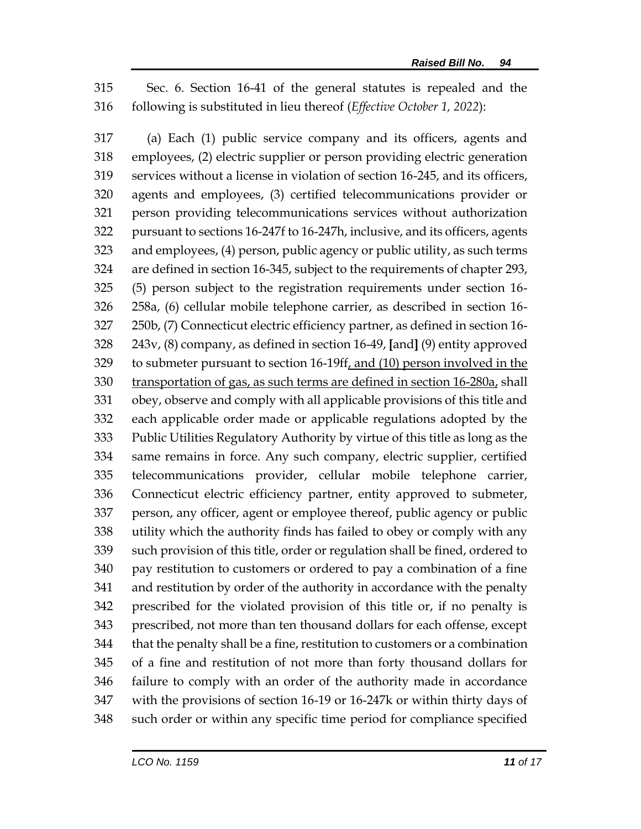Sec. 6. Section 16-41 of the general statutes is repealed and the following is substituted in lieu thereof (*Effective October 1, 2022*):

 (a) Each (1) public service company and its officers, agents and employees, (2) electric supplier or person providing electric generation services without a license in violation of section 16-245, and its officers, agents and employees, (3) certified telecommunications provider or person providing telecommunications services without authorization pursuant to sections 16-247f to 16-247h, inclusive, and its officers, agents and employees, (4) person, public agency or public utility, as such terms are defined in section 16-345, subject to the requirements of chapter 293, (5) person subject to the registration requirements under section 16- 258a, (6) cellular mobile telephone carrier, as described in section 16- 250b, (7) Connecticut electric efficiency partner, as defined in section 16- 243v, (8) company, as defined in section 16-49, **[**and**]** (9) entity approved to submeter pursuant to section 16-19ff, and (10) person involved in the transportation of gas, as such terms are defined in section 16-280a, shall obey, observe and comply with all applicable provisions of this title and each applicable order made or applicable regulations adopted by the Public Utilities Regulatory Authority by virtue of this title as long as the same remains in force. Any such company, electric supplier, certified telecommunications provider, cellular mobile telephone carrier, Connecticut electric efficiency partner, entity approved to submeter, person, any officer, agent or employee thereof, public agency or public utility which the authority finds has failed to obey or comply with any such provision of this title, order or regulation shall be fined, ordered to pay restitution to customers or ordered to pay a combination of a fine and restitution by order of the authority in accordance with the penalty prescribed for the violated provision of this title or, if no penalty is prescribed, not more than ten thousand dollars for each offense, except that the penalty shall be a fine, restitution to customers or a combination of a fine and restitution of not more than forty thousand dollars for failure to comply with an order of the authority made in accordance with the provisions of section 16-19 or 16-247k or within thirty days of such order or within any specific time period for compliance specified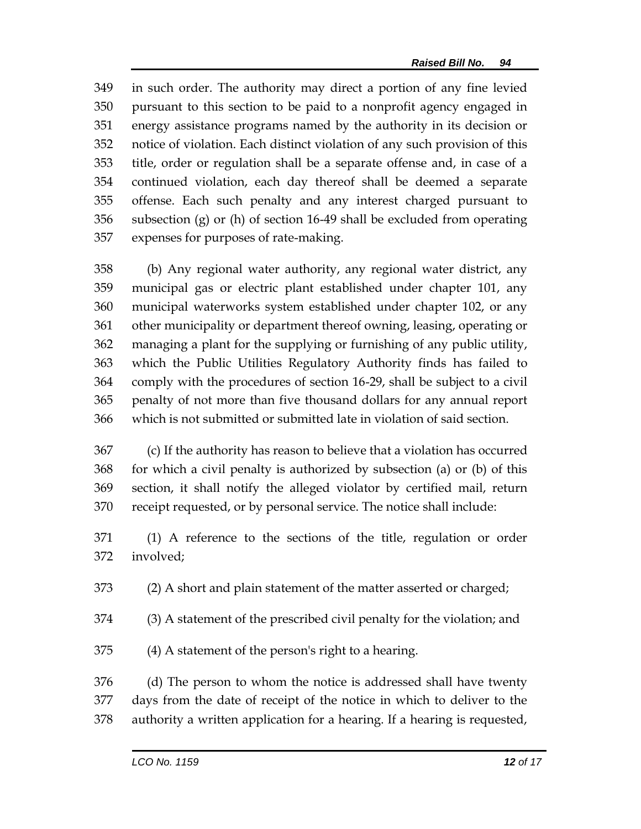in such order. The authority may direct a portion of any fine levied pursuant to this section to be paid to a nonprofit agency engaged in energy assistance programs named by the authority in its decision or notice of violation. Each distinct violation of any such provision of this title, order or regulation shall be a separate offense and, in case of a continued violation, each day thereof shall be deemed a separate offense. Each such penalty and any interest charged pursuant to subsection (g) or (h) of section 16-49 shall be excluded from operating expenses for purposes of rate-making.

 (b) Any regional water authority, any regional water district, any municipal gas or electric plant established under chapter 101, any municipal waterworks system established under chapter 102, or any other municipality or department thereof owning, leasing, operating or managing a plant for the supplying or furnishing of any public utility, which the Public Utilities Regulatory Authority finds has failed to comply with the procedures of section 16-29, shall be subject to a civil penalty of not more than five thousand dollars for any annual report which is not submitted or submitted late in violation of said section.

 (c) If the authority has reason to believe that a violation has occurred for which a civil penalty is authorized by subsection (a) or (b) of this section, it shall notify the alleged violator by certified mail, return receipt requested, or by personal service. The notice shall include:

 (1) A reference to the sections of the title, regulation or order involved;

(2) A short and plain statement of the matter asserted or charged;

(3) A statement of the prescribed civil penalty for the violation; and

(4) A statement of the person's right to a hearing.

 (d) The person to whom the notice is addressed shall have twenty days from the date of receipt of the notice in which to deliver to the authority a written application for a hearing. If a hearing is requested,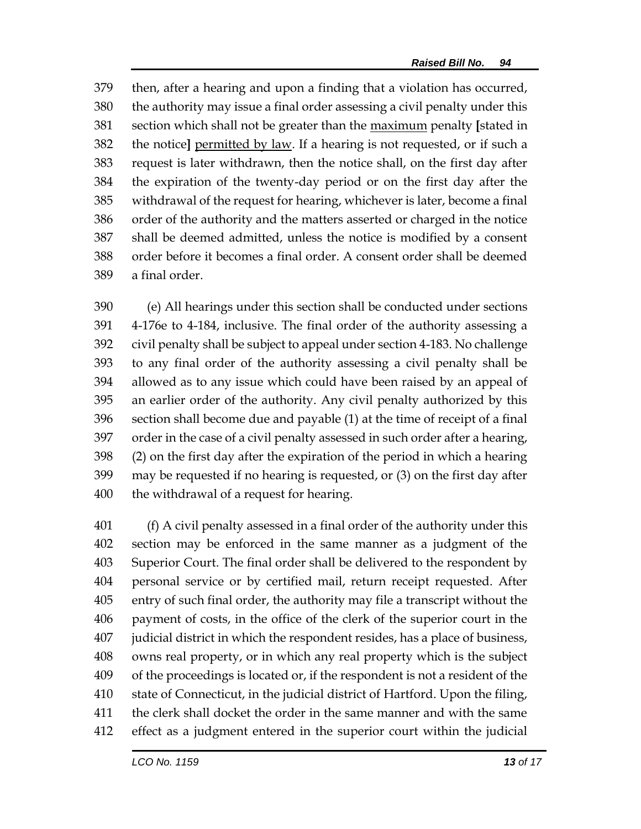then, after a hearing and upon a finding that a violation has occurred, the authority may issue a final order assessing a civil penalty under this section which shall not be greater than the maximum penalty **[**stated in the notice**]** permitted by law. If a hearing is not requested, or if such a request is later withdrawn, then the notice shall, on the first day after the expiration of the twenty-day period or on the first day after the withdrawal of the request for hearing, whichever is later, become a final order of the authority and the matters asserted or charged in the notice shall be deemed admitted, unless the notice is modified by a consent order before it becomes a final order. A consent order shall be deemed a final order.

 (e) All hearings under this section shall be conducted under sections 4-176e to 4-184, inclusive. The final order of the authority assessing a civil penalty shall be subject to appeal under section 4-183. No challenge to any final order of the authority assessing a civil penalty shall be allowed as to any issue which could have been raised by an appeal of an earlier order of the authority. Any civil penalty authorized by this section shall become due and payable (1) at the time of receipt of a final order in the case of a civil penalty assessed in such order after a hearing, (2) on the first day after the expiration of the period in which a hearing may be requested if no hearing is requested, or (3) on the first day after the withdrawal of a request for hearing.

 (f) A civil penalty assessed in a final order of the authority under this section may be enforced in the same manner as a judgment of the Superior Court. The final order shall be delivered to the respondent by personal service or by certified mail, return receipt requested. After entry of such final order, the authority may file a transcript without the payment of costs, in the office of the clerk of the superior court in the judicial district in which the respondent resides, has a place of business, owns real property, or in which any real property which is the subject of the proceedings is located or, if the respondent is not a resident of the state of Connecticut, in the judicial district of Hartford. Upon the filing, the clerk shall docket the order in the same manner and with the same effect as a judgment entered in the superior court within the judicial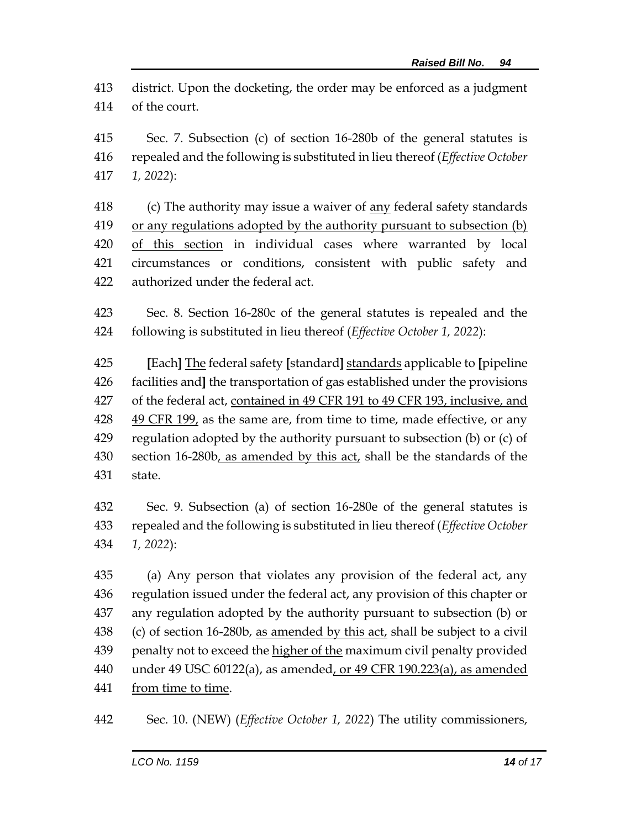district. Upon the docketing, the order may be enforced as a judgment of the court.

 Sec. 7. Subsection (c) of section 16-280b of the general statutes is repealed and the following is substituted in lieu thereof (*Effective October 1, 2022*):

 (c) The authority may issue a waiver of any federal safety standards or any regulations adopted by the authority pursuant to subsection (b) of this section in individual cases where warranted by local circumstances or conditions, consistent with public safety and authorized under the federal act.

 Sec. 8. Section 16-280c of the general statutes is repealed and the following is substituted in lieu thereof (*Effective October 1, 2022*):

 **[**Each**]** The federal safety **[**standard**]** standards applicable to **[**pipeline facilities and**]** the transportation of gas established under the provisions of the federal act, contained in 49 CFR 191 to 49 CFR 193, inclusive, and  $49$  CFR  $199<sub>t</sub>$  as the same are, from time to time, made effective, or any regulation adopted by the authority pursuant to subsection (b) or (c) of section 16-280b, as amended by this act, shall be the standards of the state.

 Sec. 9. Subsection (a) of section 16-280e of the general statutes is repealed and the following is substituted in lieu thereof (*Effective October 1, 2022*):

 (a) Any person that violates any provision of the federal act, any regulation issued under the federal act, any provision of this chapter or any regulation adopted by the authority pursuant to subsection (b) or (c) of section 16-280b, as amended by this act, shall be subject to a civil penalty not to exceed the higher of the maximum civil penalty provided under 49 USC 60122(a), as amended, or 49 CFR 190.223(a), as amended 441 from time to time.

Sec. 10. (NEW) (*Effective October 1, 2022*) The utility commissioners,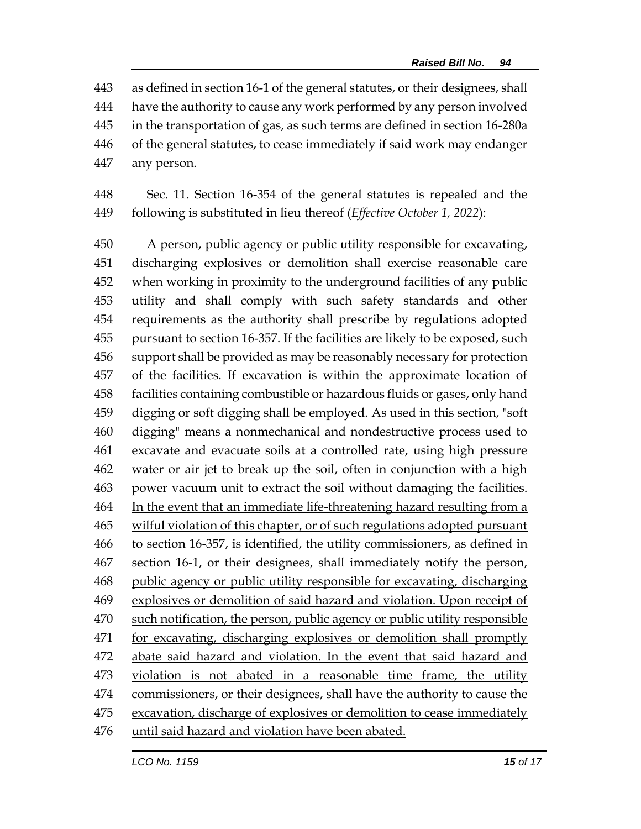as defined in section 16-1 of the general statutes, or their designees, shall have the authority to cause any work performed by any person involved in the transportation of gas, as such terms are defined in section 16-280a of the general statutes, to cease immediately if said work may endanger any person.

 Sec. 11. Section 16-354 of the general statutes is repealed and the following is substituted in lieu thereof (*Effective October 1, 2022*):

 A person, public agency or public utility responsible for excavating, discharging explosives or demolition shall exercise reasonable care when working in proximity to the underground facilities of any public utility and shall comply with such safety standards and other requirements as the authority shall prescribe by regulations adopted pursuant to section 16-357. If the facilities are likely to be exposed, such support shall be provided as may be reasonably necessary for protection of the facilities. If excavation is within the approximate location of facilities containing combustible or hazardous fluids or gases, only hand digging or soft digging shall be employed. As used in this section, "soft digging" means a nonmechanical and nondestructive process used to excavate and evacuate soils at a controlled rate, using high pressure water or air jet to break up the soil, often in conjunction with a high power vacuum unit to extract the soil without damaging the facilities. In the event that an immediate life-threatening hazard resulting from a wilful violation of this chapter, or of such regulations adopted pursuant to section 16-357, is identified, the utility commissioners, as defined in 467 section 16-1, or their designees, shall immediately notify the person, 468 public agency or public utility responsible for excavating, discharging explosives or demolition of said hazard and violation. Upon receipt of such notification, the person, public agency or public utility responsible 471 for excavating, discharging explosives or demolition shall promptly 472 abate said hazard and violation. In the event that said hazard and violation is not abated in a reasonable time frame, the utility commissioners, or their designees, shall have the authority to cause the excavation, discharge of explosives or demolition to cease immediately 476 until said hazard and violation have been abated.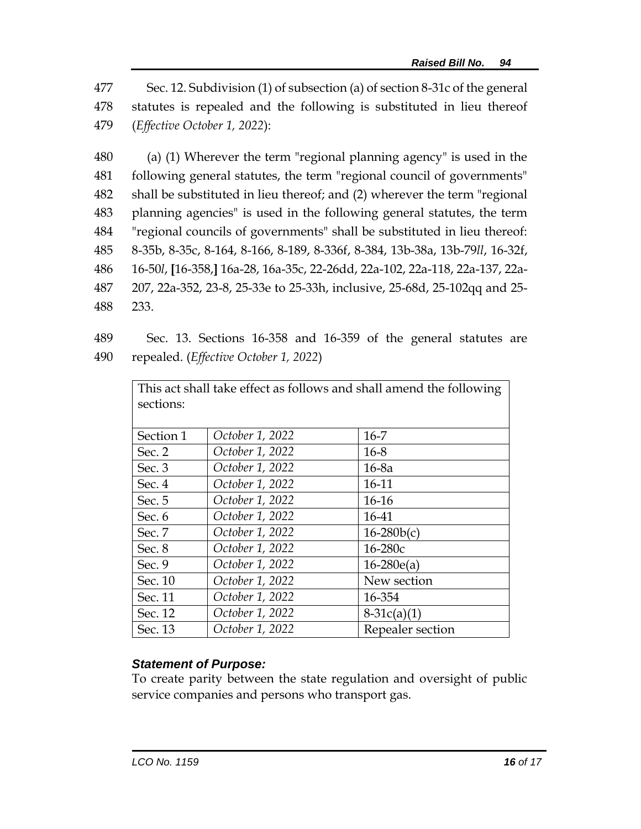477 Sec. 12. Subdivision (1) of subsection (a) of section 8-31c of the general 478 statutes is repealed and the following is substituted in lieu thereof 479 (*Effective October 1, 2022*):

 (a) (1) Wherever the term "regional planning agency" is used in the following general statutes, the term "regional council of governments" shall be substituted in lieu thereof; and (2) wherever the term "regional planning agencies" is used in the following general statutes, the term "regional councils of governments" shall be substituted in lieu thereof: 8-35b, 8-35c, 8-164, 8-166, 8-189, 8-336f, 8-384, 13b-38a, 13b-79*ll*, 16-32f, 16-50*l*, **[**16-358,**]** 16a-28, 16a-35c, 22-26dd, 22a-102, 22a-118, 22a-137, 22a- 207, 22a-352, 23-8, 25-33e to 25-33h, inclusive, 25-68d, 25-102qq and 25- 488 233.

489 Sec. 13. Sections 16-358 and 16-359 of the general statutes are 490 repealed. (*Effective October 1, 2022*)

| This act shall take effect as follows and shall amend the following |                 |                  |
|---------------------------------------------------------------------|-----------------|------------------|
| sections:                                                           |                 |                  |
|                                                                     |                 |                  |
|                                                                     |                 |                  |
| Section 1                                                           | October 1, 2022 | $16 - 7$         |
| Sec. 2                                                              | October 1, 2022 | $16 - 8$         |
| Sec. 3                                                              | October 1, 2022 | $16-8a$          |
| Sec. 4                                                              | October 1, 2022 | 16-11            |
| Sec. 5                                                              | October 1, 2022 | $16-16$          |
| Sec. 6                                                              | October 1, 2022 | 16-41            |
| Sec. 7                                                              | October 1, 2022 | $16-280b(c)$     |
| Sec. 8                                                              | October 1, 2022 | $16 - 280c$      |
| Sec. $9$                                                            | October 1, 2022 | $16 - 280e(a)$   |
| Sec. 10                                                             | October 1, 2022 | New section      |
| Sec. 11                                                             | October 1, 2022 | 16-354           |
| Sec. 12                                                             | October 1, 2022 | $8-31c(a)(1)$    |
| Sec. 13                                                             | October 1, 2022 | Repealer section |

## *Statement of Purpose:*

To create parity between the state regulation and oversight of public service companies and persons who transport gas.